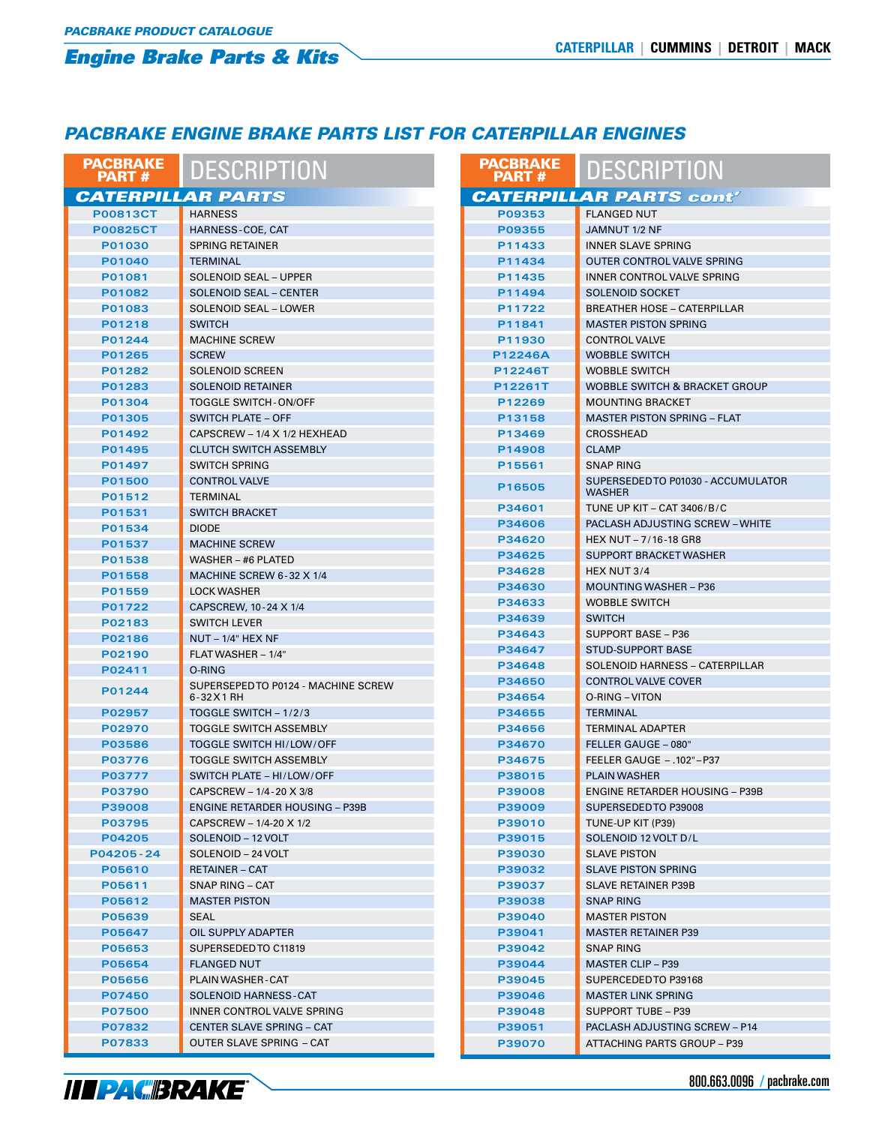### *PACBRAKE ENGINE BRAKE PARTS LIST FOR CATERPILLAR ENGINES*

| <b>PACBRAKE</b><br><b>PART#</b> | <b>DESCRIPTION</b>                      | <b>PACBRAKE</b><br><b>PART#</b> | <b>DESCRIPTION</b>                                  |  |
|---------------------------------|-----------------------------------------|---------------------------------|-----------------------------------------------------|--|
| <b>CATERPILLAR PARTS</b>        |                                         |                                 | <b>CATERPILLAR PARTS cont'</b>                      |  |
| <b>P00813CT</b>                 | <b>HARNESS</b>                          | P09353                          | <b>FLANGED NUT</b>                                  |  |
| <b>P00825CT</b>                 | HARNESS-COE, CAT                        | P09355                          | JAMNUT 1/2 NF                                       |  |
| P01030                          | <b>SPRING RETAINER</b>                  | P11433                          | <b>INNER SLAVE SPRING</b>                           |  |
| P01040                          | <b>TERMINAL</b>                         | P11434                          | OUTER CONTROL VALVE SPRING                          |  |
| P01081                          | <b>SOLENOID SEAL - UPPER</b>            | P11435                          | <b>INNER CONTROL VALVE SPRING</b>                   |  |
| P01082                          | <b>SOLENOID SEAL - CENTER</b>           | P11494                          | <b>SOLENOID SOCKET</b>                              |  |
| P01083                          | <b>SOLENOID SEAL - LOWER</b>            | P11722                          | <b>BREATHER HOSE - CATERPILLAR</b>                  |  |
| P01218                          | <b>SWITCH</b>                           | P11841                          | <b>MASTER PISTON SPRING</b>                         |  |
| P01244                          | <b>MACHINE SCREW</b>                    | P11930                          | <b>CONTROL VALVE</b>                                |  |
| P01265                          | <b>SCREW</b>                            | P12246A                         | <b>WOBBLE SWITCH</b>                                |  |
| P01282                          | <b>SOLENOID SCREEN</b>                  | P12246T                         | <b>WOBBLE SWITCH</b>                                |  |
| P01283                          | <b>SOLENOID RETAINER</b>                | P12261T                         | <b>WOBBLE SWITCH &amp; BRACKET GROUP</b>            |  |
| P01304                          | <b>TOGGLE SWITCH-ON/OFF</b>             | P12269                          | <b>MOUNTING BRACKET</b>                             |  |
| P01305                          | <b>SWITCH PLATE - OFF</b>               | P13158                          | <b>MASTER PISTON SPRING - FLAT</b>                  |  |
| P01492                          | CAPSCREW - 1/4 X 1/2 HEXHEAD            | P13469                          | <b>CROSSHEAD</b>                                    |  |
| P01495                          | <b>CLUTCH SWITCH ASSEMBLY</b>           | P14908                          | <b>CLAMP</b>                                        |  |
| P01497                          | <b>SWITCH SPRING</b>                    | P15561                          | <b>SNAP RING</b>                                    |  |
| P01500                          | <b>CONTROL VALVE</b><br><b>TERMINAL</b> | P16505                          | SUPERSEDED TO P01030 - ACCUMULATOR<br><b>WASHER</b> |  |
| P01512                          | <b>SWITCH BRACKET</b>                   | P34601                          | TUNE UP KIT - CAT 3406/B/C                          |  |
| P01531<br>P01534                | <b>DIODE</b>                            | P34606                          | <b>PACLASH ADJUSTING SCREW - WHITE</b>              |  |
| P01537                          | <b>MACHINE SCREW</b>                    | P34620                          | HEX NUT - 7/16-18 GR8                               |  |
| P01538                          | WASHER - #6 PLATED                      | P34625                          | SUPPORT BRACKET WASHER                              |  |
|                                 | MACHINE SCREW 6-32 X 1/4                | P34628                          | HEX NUT 3/4                                         |  |
| P01558<br>P01559                | <b>LOCK WASHER</b>                      | P34630                          | <b>MOUNTING WASHER - P36</b>                        |  |
| P01722                          | CAPSCREW, 10-24 X 1/4                   | P34633                          | <b>WOBBLE SWITCH</b>                                |  |
| P02183                          | <b>SWITCH LEVER</b>                     | P34639                          | <b>SWITCH</b>                                       |  |
| P02186                          | $NUT - 1/4" HEX NF$                     | P34643                          | <b>SUPPORT BASE - P36</b>                           |  |
| P02190                          | FLAT WASHER - 1/4"                      | P34647                          | <b>STUD-SUPPORT BASE</b>                            |  |
| P02411                          | O-RING                                  | P34648                          | SOLENOID HARNESS - CATERPILLAR                      |  |
|                                 | SUPERSEPED TO P0124 - MACHINE SCREW     | P34650                          | <b>CONTROL VALVE COVER</b>                          |  |
| P01244                          | 6-32 X 1 RH                             | P34654                          | O-RING - VITON                                      |  |
| P02957                          | TOGGLE SWITCH - 1/2/3                   | P34655                          | <b>TERMINAL</b>                                     |  |
| P02970                          | <b>TOGGLE SWITCH ASSEMBLY</b>           | P34656                          | <b>TERMINAL ADAPTER</b>                             |  |
| P03586                          | TOGGLE SWITCH HI/LOW/OFF                | P34670                          | FELLER GAUGE - 080"                                 |  |
| P03776                          | <b>TOGGLE SWITCH ASSEMBLY</b>           | P34675                          | FEELER GAUGE - .102"-P37                            |  |
| P03777                          | SWITCH PLATE - HI/LOW/OFF               | P38015                          | <b>PLAIN WASHER</b>                                 |  |
| P03790                          | CAPSCREW - 1/4-20 X 3/8                 | P39008                          | <b>ENGINE RETARDER HOUSING - P39B</b>               |  |
| P39008                          | <b>ENGINE RETARDER HOUSING - P39B</b>   | P39009                          | SUPERSEDED TO P39008                                |  |
| P03795                          | CAPSCREW - 1/4-20 X 1/2                 | P39010                          | TUNE-UP KIT (P39)                                   |  |
| P04205                          | SOLENOID - 12 VOLT                      | P39015                          | SOLENOID 12 VOLT D/L                                |  |
| P04205-24                       | SOLENOID - 24 VOLT                      | P39030                          | <b>SLAVE PISTON</b>                                 |  |
| P05610                          | <b>RETAINER - CAT</b>                   | P39032                          | <b>SLAVE PISTON SPRING</b>                          |  |
| P05611                          | SNAP RING - CAT                         | P39037                          | SLAVE RETAINER P39B                                 |  |
| P05612                          | <b>MASTER PISTON</b>                    | P39038                          | SNAP RING                                           |  |
| P05639                          | SEAL                                    | P39040                          | <b>MASTER PISTON</b>                                |  |
| P05647                          | OIL SUPPLY ADAPTER                      | P39041                          | <b>MASTER RETAINER P39</b>                          |  |
| P05653                          | SUPERSEDED TO C11819                    | P39042                          | <b>SNAP RING</b>                                    |  |
| P05654                          | <b>FLANGED NUT</b>                      | P39044                          | <b>MASTER CLIP - P39</b>                            |  |
| P05656                          | <b>PLAIN WASHER-CAT</b>                 | P39045                          | SUPERCEDED TO P39168                                |  |
| P07450                          | SOLENOID HARNESS-CAT                    | P39046                          | <b>MASTER LINK SPRING</b>                           |  |
| <b>P07500</b>                   | INNER CONTROL VALVE SPRING              | P39048                          | SUPPORT TUBE - P39                                  |  |
| P07832                          | CENTER SLAVE SPRING - CAT               | P39051                          | PACLASH ADJUSTING SCREW - P14                       |  |
| P07833                          | OUTER SLAVE SPRING - CAT                | P39070                          | ATTACHING PARTS GROUP - P39                         |  |

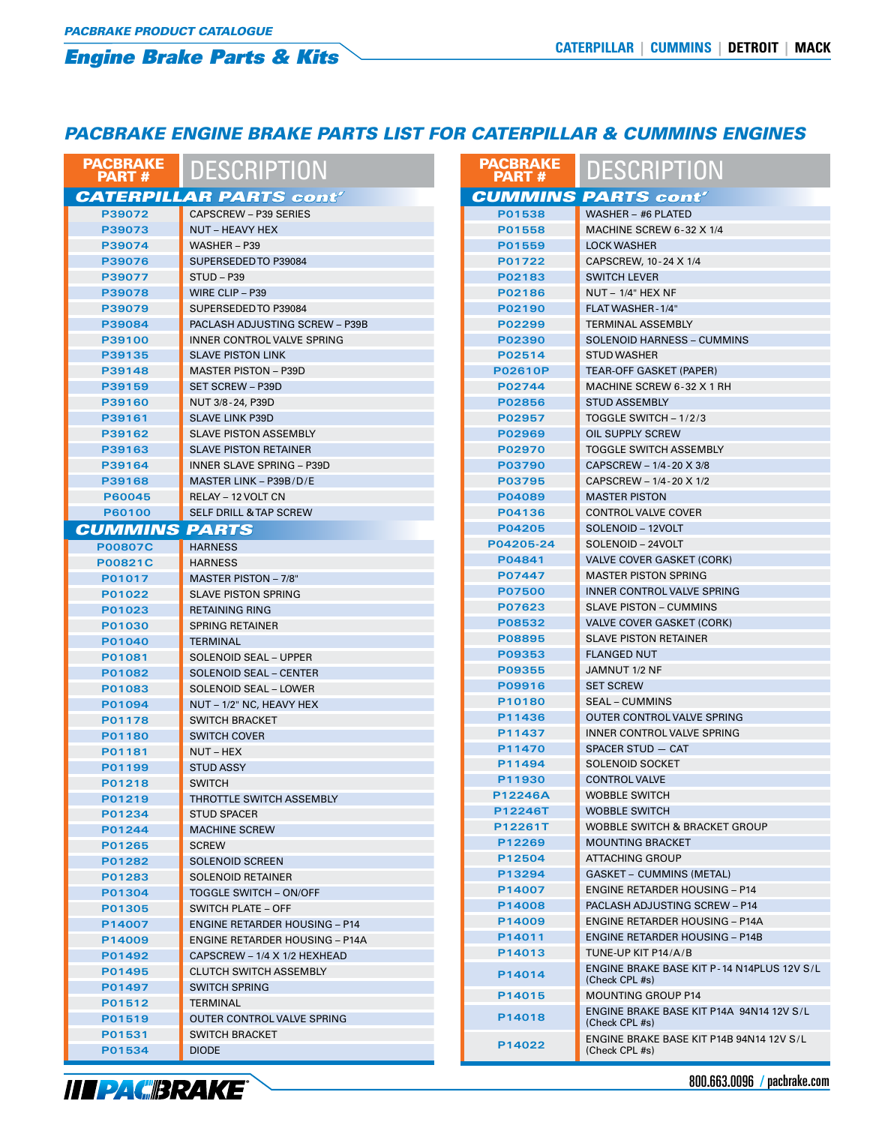### *PACBRAKE ENGINE BRAKE PARTS LIST FOR CATERPILLAR & CUMMINS ENGINES*

| <b>PACBRAKE</b><br><b>PART#</b> | <b>DESCRIPTION</b>                    | <b>PACBRAKE</b><br><b>PART#</b> | <b>DESCRIPTION</b>                                           |  |
|---------------------------------|---------------------------------------|---------------------------------|--------------------------------------------------------------|--|
|                                 | <b>CATERPILLAR PARTS cont'</b>        |                                 | <b>CUMMINS PARTS cont'</b>                                   |  |
| P39072                          | <b>CAPSCREW - P39 SERIES</b>          | P01538                          | WASHER - #6 PLATED                                           |  |
| P39073                          | NUT - HEAVY HEX                       | P01558                          | MACHINE SCREW 6-32 X 1/4                                     |  |
| P39074                          | WASHER $-$ P39                        | P01559                          | <b>LOCK WASHER</b>                                           |  |
| P39076                          | SUPERSEDED TO P39084                  | P01722                          | CAPSCREW, 10-24 X 1/4                                        |  |
| P39077                          | STUD-P39                              | P02183                          | <b>SWITCH LEVER</b>                                          |  |
| P39078                          | WIRE CLIP - P39                       | P02186                          | $NUT - 1/4"$ HEX NF                                          |  |
| P39079                          | SUPERSEDED TO P39084                  | P02190                          | FLAT WASHER - 1/4"                                           |  |
| P39084                          | PACLASH ADJUSTING SCREW - P39B        | P02299                          | <b>TERMINAL ASSEMBLY</b>                                     |  |
| P39100                          | <b>INNER CONTROL VALVE SPRING</b>     | P02390                          | <b>SOLENOID HARNESS - CUMMINS</b>                            |  |
| P39135                          | <b>SLAVE PISTON LINK</b>              | P02514                          | <b>STUD WASHER</b>                                           |  |
| P39148                          | <b>MASTER PISTON - P39D</b>           | <b>P02610P</b>                  | <b>TEAR-OFF GASKET (PAPER)</b>                               |  |
| P39159                          | <b>SET SCREW - P39D</b>               | P02744                          | MACHINE SCREW 6-32 X 1 RH                                    |  |
| P39160                          | NUT 3/8-24, P39D                      | P02856                          | <b>STUD ASSEMBLY</b>                                         |  |
| P39161                          | <b>SLAVE LINK P39D</b>                | P02957                          | TOGGLE SWITCH - 1/2/3                                        |  |
| P39162                          | <b>SLAVE PISTON ASSEMBLY</b>          | P02969                          | <b>OIL SUPPLY SCREW</b>                                      |  |
| P39163                          | <b>SLAVE PISTON RETAINER</b>          | P02970                          | <b>TOGGLE SWITCH ASSEMBLY</b>                                |  |
| P39164                          | <b>INNER SLAVE SPRING - P39D</b>      | P03790                          | CAPSCREW - 1/4-20 X 3/8                                      |  |
| P39168                          | MASTER LINK - P39B/D/E                | P03795                          | CAPSCREW - 1/4-20 X 1/2                                      |  |
| P60045                          | RELAY - 12 VOLT CN                    | P04089                          | <b>MASTER PISTON</b>                                         |  |
| P60100                          | <b>SELF DRILL &amp; TAP SCREW</b>     | P04136                          | <b>CONTROL VALVE COVER</b>                                   |  |
| <b>CUMMINS PARTS</b>            |                                       | P04205                          | SOLENOID - 12VOLT                                            |  |
| <b>P00807C</b>                  | <b>HARNESS</b>                        | P04205-24                       | SOLENOID - 24VOLT                                            |  |
| P00821C                         | <b>HARNESS</b>                        | P04841                          | <b>VALVE COVER GASKET (CORK)</b>                             |  |
| P01017                          | <b>MASTER PISTON - 7/8"</b>           | P07447                          | <b>MASTER PISTON SPRING</b>                                  |  |
| P01022                          | <b>SLAVE PISTON SPRING</b>            | <b>P07500</b>                   | INNER CONTROL VALVE SPRING                                   |  |
| P01023                          | <b>RETAINING RING</b>                 | P07623                          | <b>SLAVE PISTON - CUMMINS</b>                                |  |
| P01030                          | <b>SPRING RETAINER</b>                | P08532                          | <b>VALVE COVER GASKET (CORK)</b>                             |  |
| P01040                          | <b>TERMINAL</b>                       | P08895                          | <b>SLAVE PISTON RETAINER</b>                                 |  |
| P01081                          | <b>SOLENOID SEAL - UPPER</b>          | P09353                          | <b>FLANGED NUT</b>                                           |  |
| P01082                          | <b>SOLENOID SEAL - CENTER</b>         | P09355                          | JAMNUT 1/2 NF                                                |  |
| P01083                          | SOLENOID SEAL - LOWER                 | P09916                          | <b>SET SCREW</b>                                             |  |
| P01094                          | NUT - 1/2" NC, HEAVY HEX              | P10180                          | <b>SEAL – CUMMINS</b>                                        |  |
| P01178                          | <b>SWITCH BRACKET</b>                 | P11436                          | <b>OUTER CONTROL VALVE SPRING</b>                            |  |
| P01180                          | <b>SWITCH COVER</b>                   | P11437                          | INNER CONTROL VALVE SPRING                                   |  |
| P01181                          | NUT-HEX                               | P11470                          | SPACER STUD - CAT                                            |  |
| P01199                          | <b>STUD ASSY</b>                      | P11494                          | <b>SOLENOID SOCKET</b>                                       |  |
| P01218                          | <b>SWITCH</b>                         | P11930                          | <b>CONTROL VALVE</b>                                         |  |
| P01219                          | THROTTLE SWITCH ASSEMBLY              | P12246A                         | <b>WOBBLE SWITCH</b>                                         |  |
| P01234                          | <b>STUD SPACER</b>                    | P12246T                         | <b>WOBBLE SWITCH</b>                                         |  |
| P01244                          | <b>MACHINE SCREW</b>                  | P12261T                         | <b>WOBBLE SWITCH &amp; BRACKET GROUP</b>                     |  |
| P01265                          | <b>SCREW</b>                          | P12269                          | <b>MOUNTING BRACKET</b>                                      |  |
| P01282                          | <b>SOLENOID SCREEN</b>                | P12504                          | <b>ATTACHING GROUP</b>                                       |  |
| P01283                          | <b>SOLENOID RETAINER</b>              | P13294                          | <b>GASKET - CUMMINS (METAL)</b>                              |  |
| P01304                          | TOGGLE SWITCH - ON/OFF                | P14007                          | <b>ENGINE RETARDER HOUSING - P14</b>                         |  |
| P01305                          | <b>SWITCH PLATE - OFF</b>             | P14008                          | PACLASH ADJUSTING SCREW - P14                                |  |
| P14007                          | <b>ENGINE RETARDER HOUSING - P14</b>  | P14009                          | <b>ENGINE RETARDER HOUSING - P14A</b>                        |  |
| P14009                          | <b>ENGINE RETARDER HOUSING - P14A</b> | P14011                          | <b>ENGINE RETARDER HOUSING - P14B</b>                        |  |
| P01492                          | CAPSCREW - 1/4 X 1/2 HEXHEAD          | P14013                          | TUNE-UP KIT P14/A/B                                          |  |
| P01495                          | <b>CLUTCH SWITCH ASSEMBLY</b>         | P14014                          | ENGINE BRAKE BASE KIT P-14 N14PLUS 12V S/L<br>(Check CPL #s) |  |
| P01497                          | <b>SWITCH SPRING</b>                  | P14015                          | <b>MOUNTING GROUP P14</b>                                    |  |
| P01512                          | TERMINAL                              |                                 | ENGINE BRAKE BASE KIT P14A 94N14 12V S/L                     |  |
| P01519                          | OUTER CONTROL VALVE SPRING            | P14018                          | (Check CPL #s)                                               |  |
| P01531                          | <b>SWITCH BRACKET</b>                 |                                 | ENGINE BRAKE BASE KIT P14B 94N14 12V S/L                     |  |
| P01534                          | <b>DIODE</b>                          | P14022                          | (Check CPL #s)                                               |  |

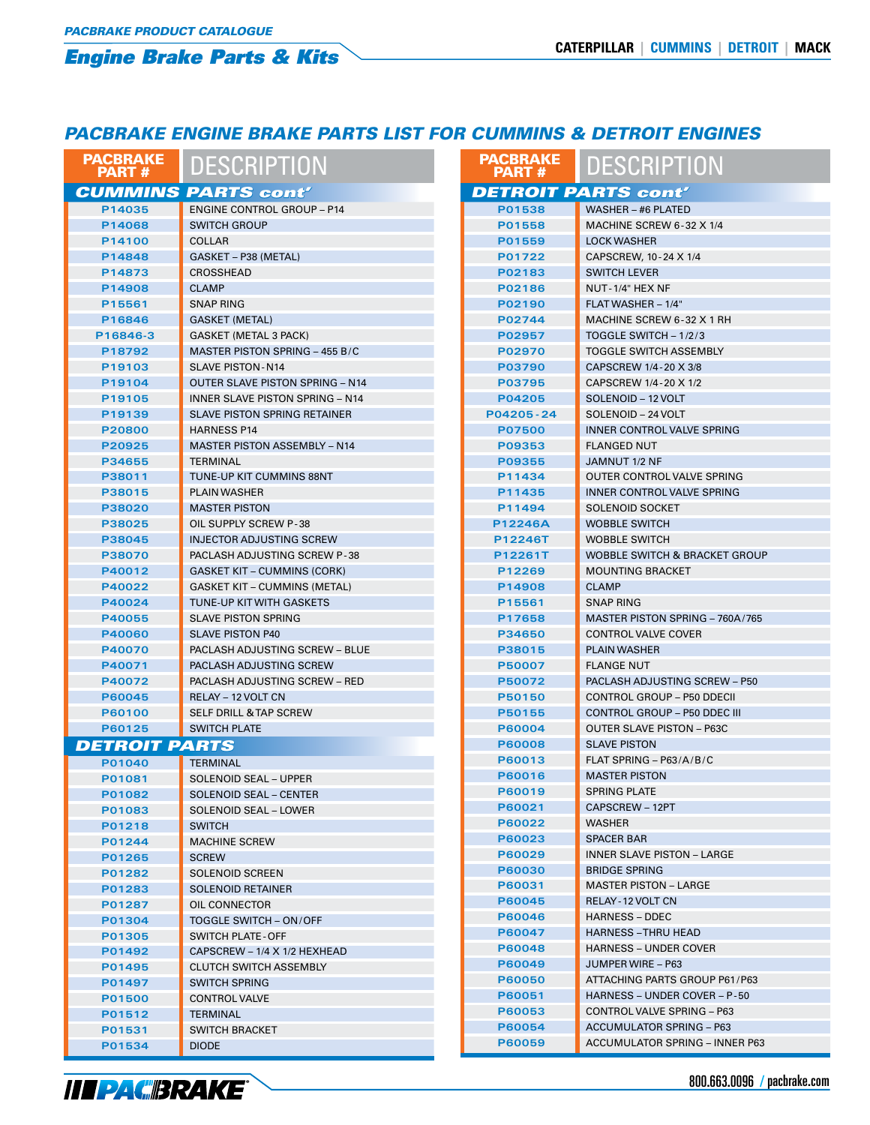### *PACBRAKE ENGINE BRAKE PARTS LIST FOR CUMMINS & DETROIT ENGINES*

| <b>PACBRAKE</b><br><b>PART#</b> | <b>DESCRIPTION</b>                     | <b>PACBRAKE</b><br><b>PART#</b> | <b>DESCRIPTION</b>                       |
|---------------------------------|----------------------------------------|---------------------------------|------------------------------------------|
|                                 | <b>CUMMINS PARTS cont'</b>             |                                 | <b>DETROIT PARTS cont'</b>               |
| P14035                          | <b>ENGINE CONTROL GROUP - P14</b>      | P01538                          | WASHER - #6 PLATED                       |
| P14068                          | <b>SWITCH GROUP</b>                    | P01558                          | MACHINE SCREW 6-32 X 1/4                 |
| P14100                          | <b>COLLAR</b>                          | P01559                          | <b>LOCK WASHER</b>                       |
| P14848                          | GASKET - P38 (METAL)                   | P01722                          | CAPSCREW, 10-24 X 1/4                    |
| P14873                          | <b>CROSSHEAD</b>                       | P02183                          | <b>SWITCH LEVER</b>                      |
| P14908                          | <b>CLAMP</b>                           | P02186                          | NUT-1/4" HEX NF                          |
| P15561                          | <b>SNAP RING</b>                       | P02190                          | FLAT WASHER - 1/4"                       |
| P16846                          | GASKET (METAL)                         | P02744                          | MACHINE SCREW 6-32 X 1 RH                |
| P16846-3                        | <b>GASKET (METAL 3 PACK)</b>           | P02957                          | TOGGLE SWITCH - 1/2/3                    |
| P18792                          | MASTER PISTON SPRING - 455 B/C         | P02970                          | <b>TOGGLE SWITCH ASSEMBLY</b>            |
| P19103                          | <b>SLAVE PISTON-N14</b>                | P03790                          | CAPSCREW 1/4-20 X 3/8                    |
| P19104                          | <b>OUTER SLAVE PISTON SPRING - N14</b> | P03795                          | CAPSCREW 1/4-20 X 1/2                    |
| P19105                          | <b>INNER SLAVE PISTON SPRING - N14</b> | P04205                          | SOLENOID - 12 VOLT                       |
| P19139                          | <b>SLAVE PISTON SPRING RETAINER</b>    | P04205-24                       | SOLENOID - 24 VOLT                       |
| P20800                          | <b>HARNESS P14</b>                     | P07500                          | <b>INNER CONTROL VALVE SPRING</b>        |
| P20925                          | <b>MASTER PISTON ASSEMBLY - N14</b>    | P09353                          | <b>FLANGED NUT</b>                       |
| P34655                          | <b>TERMINAL</b>                        | P09355                          | JAMNUT 1/2 NF                            |
| P38011                          | <b>TUNE-UP KIT CUMMINS 88NT</b>        | P11434                          | OUTER CONTROL VALVE SPRING               |
| P38015                          | <b>PLAIN WASHER</b>                    | P11435                          | INNER CONTROL VALVE SPRING               |
| P38020                          | <b>MASTER PISTON</b>                   | P11494                          | <b>SOLENOID SOCKET</b>                   |
| P38025                          | OIL SUPPLY SCREW P-38                  | P12246A                         | <b>WOBBLE SWITCH</b>                     |
| P38045                          | <b>INJECTOR ADJUSTING SCREW</b>        | P12246T                         | <b>WOBBLE SWITCH</b>                     |
| P38070                          | PACLASH ADJUSTING SCREW P-38           | P12261T                         | <b>WOBBLE SWITCH &amp; BRACKET GROUP</b> |
| P40012                          | <b>GASKET KIT - CUMMINS (CORK)</b>     | P12269                          | <b>MOUNTING BRACKET</b>                  |
| P40022                          | <b>GASKET KIT - CUMMINS (METAL)</b>    | P14908                          | <b>CLAMP</b>                             |
| P40024                          | TUNE-UP KIT WITH GASKETS               | P15561                          | <b>SNAP RING</b>                         |
| P40055                          | <b>SLAVE PISTON SPRING</b>             | P17658                          | MASTER PISTON SPRING - 760A/765          |
| P40060                          | <b>SLAVE PISTON P40</b>                | P34650                          | <b>CONTROL VALVE COVER</b>               |
| P40070                          | <b>PACLASH ADJUSTING SCREW - BLUE</b>  | P38015                          | <b>PLAIN WASHER</b>                      |
| P40071                          | PACLASH ADJUSTING SCREW                | <b>P50007</b>                   | <b>FLANGE NUT</b>                        |
| P40072                          | <b>PACLASH ADJUSTING SCREW - RED</b>   | P50072                          | <b>PACLASH ADJUSTING SCREW - P50</b>     |
| P60045                          | <b>RELAY - 12 VOLT CN</b>              | P50150                          | <b>CONTROL GROUP - P50 DDECII</b>        |
| P60100                          | <b>SELF DRILL &amp; TAP SCREW</b>      | P50155                          | <b>CONTROL GROUP - P50 DDEC III</b>      |
| P60125                          | <b>SWITCH PLATE</b>                    | P60004                          | <b>OUTER SLAVE PISTON - P63C</b>         |
| <b>DETROIT PARTS</b>            |                                        | <b>P60008</b>                   | <b>SLAVE PISTON</b>                      |
| P01040                          | TERMINAL                               | P60013                          | FLAT SPRING - $P63/A/B/C$                |
| P01081                          | <b>SOLENOID SEAL - UPPER</b>           | P60016                          | <b>MASTER PISTON</b>                     |
| P01082                          | <b>SOLENOID SEAL - CENTER</b>          | P60019                          | <b>SPRING PLATE</b>                      |
| P01083                          | SOLENOID SEAL - LOWER                  | P60021                          | CAPSCREW - 12PT                          |
| P01218                          | <b>SWITCH</b>                          | P60022                          | <b>WASHER</b>                            |
| P01244                          | <b>MACHINE SCREW</b>                   | P60023                          | <b>SPACER BAR</b>                        |
| P01265                          | <b>SCREW</b>                           | P60029                          | <b>INNER SLAVE PISTON - LARGE</b>        |
| P01282                          | <b>SOLENOID SCREEN</b>                 | <b>P60030</b>                   | <b>BRIDGE SPRING</b>                     |
| P01283                          | <b>SOLENOID RETAINER</b>               | P60031                          | <b>MASTER PISTON - LARGE</b>             |
| P01287                          | OIL CONNECTOR                          | P60045                          | RELAY - 12 VOLT CN                       |
| P01304                          | TOGGLE SWITCH - ON/OFF                 | P60046                          | <b>HARNESS - DDEC</b>                    |
| P01305                          | <b>SWITCH PLATE - OFF</b>              | P60047                          | <b>HARNESS - THRU HEAD</b>               |
| P01492                          | CAPSCREW - 1/4 X 1/2 HEXHEAD           | <b>P60048</b>                   | <b>HARNESS - UNDER COVER</b>             |
| P01495                          | <b>CLUTCH SWITCH ASSEMBLY</b>          | P60049                          | JUMPER WIRE - P63                        |
| P01497                          | <b>SWITCH SPRING</b>                   | <b>P60050</b>                   | ATTACHING PARTS GROUP P61/P63            |
| P01500                          | <b>CONTROL VALVE</b>                   | P60051                          | HARNESS – UNDER COVER – P-50             |
| P01512                          | <b>TERMINAL</b>                        | P60053                          | CONTROL VALVE SPRING - P63               |
| P01531                          | <b>SWITCH BRACKET</b>                  | P60054                          | <b>ACCUMULATOR SPRING - P63</b>          |
| P01534                          | <b>DIODE</b>                           | <b>P60059</b>                   | ACCUMULATOR SPRING - INNER P63           |
|                                 |                                        |                                 |                                          |